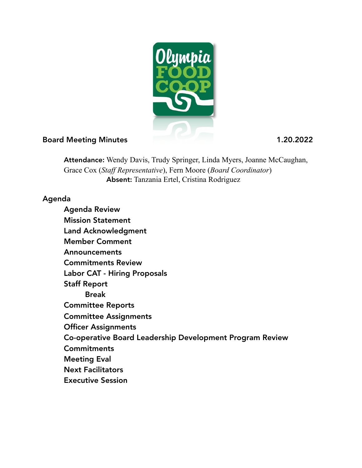

## Board Meeting Minutes 1.20.2022

Attendance: Wendy Davis, Trudy Springer, Linda Myers, Joanne McCaughan, Grace Cox (*Staff Representative*), Fern Moore (*Board Coordinator*) Absent: Tanzania Ertel, Cristina Rodriguez

## Agenda

 Agenda Review Mission Statement Land Acknowledgment Member Comment Announcements Commitments Review Labor CAT - Hiring Proposals Staff Report Break Committee Reports Committee Assignments Officer Assignments Co-operative Board Leadership Development Program Review **Commitments**  Meeting Eval Next Facilitators Executive Session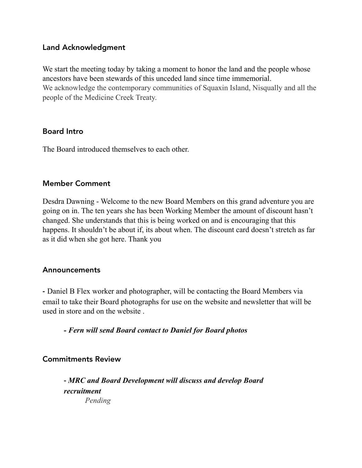### Land Acknowledgment

We start the meeting today by taking a moment to honor the land and the people whose ancestors have been stewards of this unceded land since time immemorial. We acknowledge the contemporary communities of Squaxin Island, Nisqually and all the people of the Medicine Creek Treaty.

### Board Intro

The Board introduced themselves to each other.

### Member Comment

Desdra Dawning - Welcome to the new Board Members on this grand adventure you are going on in. The ten years she has been Working Member the amount of discount hasn't changed. She understands that this is being worked on and is encouraging that this happens. It shouldn't be about if, its about when. The discount card doesn't stretch as far as it did when she got here. Thank you

## Announcements

- Daniel B Flex worker and photographer, will be contacting the Board Members via email to take their Board photographs for use on the website and newsletter that will be used in store and on the website .

*- Fern will send Board contact to Daniel for Board photos*

## Commitments Review

 - *MRC and Board Development will discuss and develop Board recruitment Pending*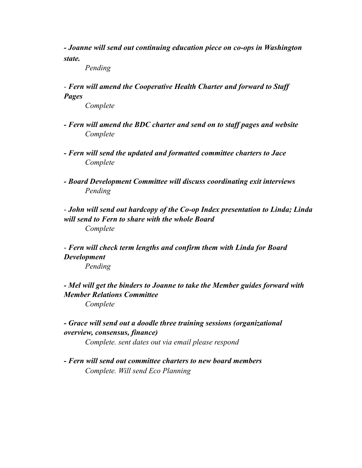*- Joanne will send out continuing education piece on co-ops in Washington state.* 

 *Pending* 

 *- Fern will amend the Cooperative Health Charter and forward to Staff Pages* 

 *Complete* 

- *Fern will amend the BDC charter and send on to staff pages and website Complete*
- *Fern will send the updated and formatted committee charters to Jace Complete*
- *Board Development Committee will discuss coordinating exit interviews Pending*

 - *John will send out hardcopy of the Co-op Index presentation to Linda; Linda will send to Fern to share with the whole Board Complete*

 - *Fern will check term lengths and confirm them with Linda for Board Development* 

 *Pending*

*- Mel will get the binders to Joanne to take the Member guides forward with Member Relations Committee* 

 *Complete* 

 *- Grace will send out a doodle three training sessions (organizational overview, consensus, finance)* 

 *Complete. sent dates out via email please respond* 

 *- Fern will send out committee charters to new board members Complete. Will send Eco Planning*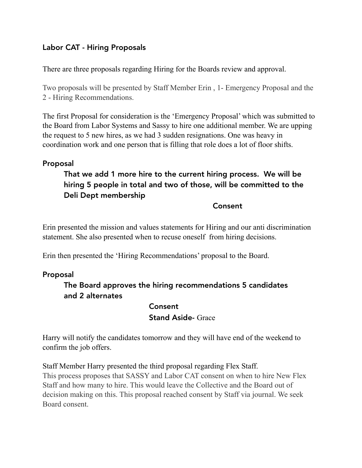## Labor CAT - Hiring Proposals

There are three proposals regarding Hiring for the Boards review and approval.

Two proposals will be presented by Staff Member Erin , 1- Emergency Proposal and the 2 - Hiring Recommendations.

The first Proposal for consideration is the 'Emergency Proposal' which was submitted to the Board from Labor Systems and Sassy to hire one additional member. We are upping the request to 5 new hires, as we had 3 sudden resignations. One was heavy in coordination work and one person that is filling that role does a lot of floor shifts.

### Proposal

# That we add 1 more hire to the current hiring process. We will be hiring 5 people in total and two of those, will be committed to the Deli Dept membership

#### **Consent**

Erin presented the mission and values statements for Hiring and our anti discrimination statement. She also presented when to recuse oneself from hiring decisions.

Erin then presented the 'Hiring Recommendations' proposal to the Board.

### Proposal

## The Board approves the hiring recommendations 5 candidates and 2 alternates

#### Consent

### Stand Aside- Grace

Harry will notify the candidates tomorrow and they will have end of the weekend to confirm the job offers.

Staff Member Harry presented the third proposal regarding Flex Staff. This process proposes that SASSY and Labor CAT consent on when to hire New Flex Staff and how many to hire. This would leave the Collective and the Board out of decision making on this. This proposal reached consent by Staff via journal. We seek Board consent.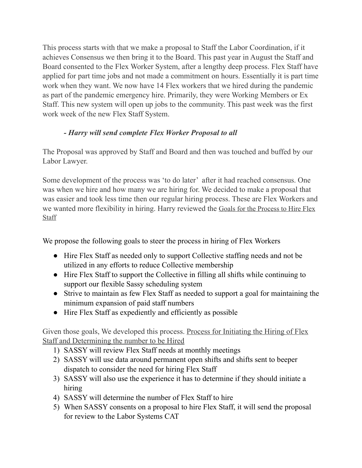This process starts with that we make a proposal to Staff the Labor Coordination, if it achieves Consensus we then bring it to the Board. This past year in August the Staff and Board consented to the Flex Worker System, after a lengthy deep process. Flex Staff have applied for part time jobs and not made a commitment on hours. Essentially it is part time work when they want. We now have 14 Flex workers that we hired during the pandemic as part of the pandemic emergency hire. Primarily, they were Working Members or Ex Staff. This new system will open up jobs to the community. This past week was the first work week of the new Flex Staff System.

# *- Harry will send complete Flex Worker Proposal to all*

The Proposal was approved by Staff and Board and then was touched and buffed by our Labor Lawyer.

Some development of the process was 'to do later' after it had reached consensus. One was when we hire and how many we are hiring for. We decided to make a proposal that was easier and took less time then our regular hiring process. These are Flex Workers and we wanted more flexibility in hiring. Harry reviewed the Goals for the Process to Hire Flex **Staff** 

We propose the following goals to steer the process in hiring of Flex Workers

- Hire Flex Staff as needed only to support Collective staffing needs and not be utilized in any efforts to reduce Collective membership
- ! Hire Flex Staff to support the Collective in filling all shifts while continuing to support our flexible Sassy scheduling system
- ! Strive to maintain as few Flex Staff as needed to support a goal for maintaining the minimum expansion of paid staff numbers
- Hire Flex Staff as expediently and efficiently as possible

Given those goals, We developed this process. Process for Initiating the Hiring of Flex Staff and Determining the number to be Hired

- 1) SASSY will review Flex Staff needs at monthly meetings
- 2) SASSY will use data around permanent open shifts and shifts sent to beeper dispatch to consider the need for hiring Flex Staff
- 3) SASSY will also use the experience it has to determine if they should initiate a hiring
- 4) SASSY will determine the number of Flex Staff to hire
- 5) When SASSY consents on a proposal to hire Flex Staff, it will send the proposal for review to the Labor Systems CAT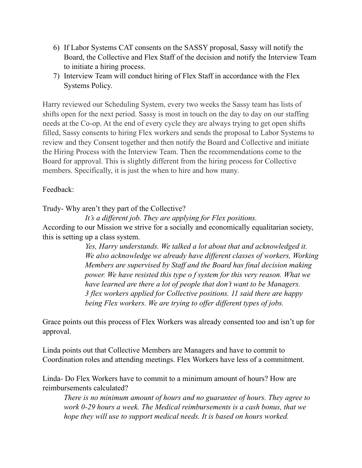- 6) If Labor Systems CAT consents on the SASSY proposal, Sassy will notify the Board, the Collective and Flex Staff of the decision and notify the Interview Team to initiate a hiring process.
- 7) Interview Team will conduct hiring of Flex Staff in accordance with the Flex Systems Policy.

Harry reviewed our Scheduling System, every two weeks the Sassy team has lists of shifts open for the next period. Sassy is most in touch on the day to day on our staffing needs at the Co-op. At the end of every cycle they are always trying to get open shifts filled, Sassy consents to hiring Flex workers and sends the proposal to Labor Systems to review and they Consent together and then notify the Board and Collective and initiate the Hiring Process with the Interview Team. Then the recommendations come to the Board for approval. This is slightly different from the hiring process for Collective members. Specifically, it is just the when to hire and how many.

### Feedback:

Trudy- Why aren't they part of the Collective?

 *It's a different job. They are applying for Flex positions.*  According to our Mission we strive for a socially and economically equalitarian society, this is setting up a class system.

> *Yes, Harry understands. We talked a lot about that and acknowledged it. We also acknowledge we already have different classes of workers, Working Members are supervised by Staff and the Board has final decision making power. We have resisted this type o f system for this very reason. What we have learned are there a lot of people that don't want to be Managers. 3 flex workers applied for Collective positions. 11 said there are happy being Flex workers. We are trying to offer different types of jobs.*

Grace points out this process of Flex Workers was already consented too and isn't up for approval.

Linda points out that Collective Members are Managers and have to commit to Coordination roles and attending meetings. Flex Workers have less of a commitment.

Linda- Do Flex Workers have to commit to a minimum amount of hours? How are reimbursements calculated?

*There is no minimum amount of hours and no guarantee of hours. They agree to work 0-29 hours a week. The Medical reimbursements is a cash bonus, that we hope they will use to support medical needs. It is based on hours worked.*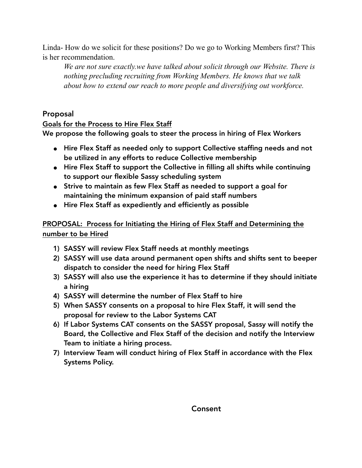Linda- How do we solicit for these positions? Do we go to Working Members first? This is her recommendation.

*We are not sure exactly.we have talked about solicit through our Website. There is nothing precluding recruiting from Working Members. He knows that we talk about how to extend our reach to more people and diversifying out workforce.* 

## Proposal

### Goals for the Process to Hire Flex Staff

We propose the following goals to steer the process in hiring of Flex Workers

- Hire Flex Staff as needed only to support Collective staffing needs and not be utilized in any efforts to reduce Collective membership
- ! Hire Flex Staff to support the Collective in filling all shifts while continuing to support our flexible Sassy scheduling system
- ! Strive to maintain as few Flex Staff as needed to support a goal for maintaining the minimum expansion of paid staff numbers
- ! Hire Flex Staff as expediently and efficiently as possible

## PROPOSAL: Process for Initiating the Hiring of Flex Staff and Determining the number to be Hired

- 1) SASSY will review Flex Staff needs at monthly meetings
- 2) SASSY will use data around permanent open shifts and shifts sent to beeper dispatch to consider the need for hiring Flex Staff
- 3) SASSY will also use the experience it has to determine if they should initiate a hiring
- 4) SASSY will determine the number of Flex Staff to hire
- 5) When SASSY consents on a proposal to hire Flex Staff, it will send the proposal for review to the Labor Systems CAT
- 6) If Labor Systems CAT consents on the SASSY proposal, Sassy will notify the Board, the Collective and Flex Staff of the decision and notify the Interview Team to initiate a hiring process.
- 7) Interview Team will conduct hiring of Flex Staff in accordance with the Flex Systems Policy.

### Consent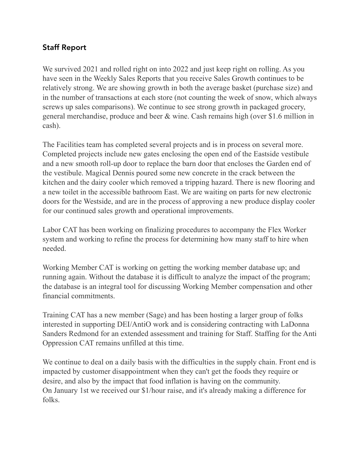## Staff Report

We survived 2021 and rolled right on into 2022 and just keep right on rolling. As you have seen in the Weekly Sales Reports that you receive Sales Growth continues to be relatively strong. We are showing growth in both the average basket (purchase size) and in the number of transactions at each store (not counting the week of snow, which always screws up sales comparisons). We continue to see strong growth in packaged grocery, general merchandise, produce and beer & wine. Cash remains high (over \$1.6 million in cash).

The Facilities team has completed several projects and is in process on several more. Completed projects include new gates enclosing the open end of the Eastside vestibule and a new smooth roll-up door to replace the barn door that encloses the Garden end of the vestibule. Magical Dennis poured some new concrete in the crack between the kitchen and the dairy cooler which removed a tripping hazard. There is new flooring and a new toilet in the accessible bathroom East. We are waiting on parts for new electronic doors for the Westside, and are in the process of approving a new produce display cooler for our continued sales growth and operational improvements.

Labor CAT has been working on finalizing procedures to accompany the Flex Worker system and working to refine the process for determining how many staff to hire when needed.

Working Member CAT is working on getting the working member database up; and running again. Without the database it is difficult to analyze the impact of the program; the database is an integral tool for discussing Working Member compensation and other financial commitments.

Training CAT has a new member (Sage) and has been hosting a larger group of folks interested in supporting DEI/AntiO work and is considering contracting with LaDonna Sanders Redmond for an extended assessment and training for Staff. Staffing for the Anti Oppression CAT remains unfilled at this time.

We continue to deal on a daily basis with the difficulties in the supply chain. Front end is impacted by customer disappointment when they can't get the foods they require or desire, and also by the impact that food inflation is having on the community. On January 1st we received our \$1/hour raise, and it's already making a difference for folks.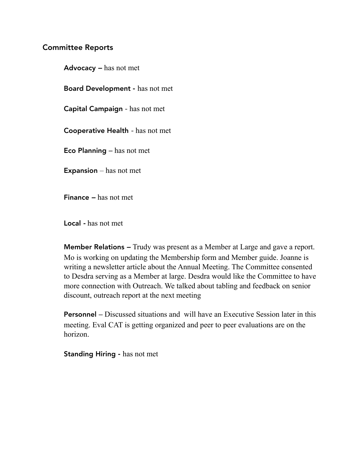### Committee Reports

Advocacy *–* has not met Board Development - has not met Capital Campaign - has not met Cooperative Health *-* has not met Eco Planning *–* has not met **Expansion** – has not met Finance *–* has not met

Local *-* has not met

Member Relations *–* Trudy was present as a Member at Large and gave a report. Mo is working on updating the Membership form and Member guide. Joanne is writing a newsletter article about the Annual Meeting. The Committee consented to Desdra serving as a Member at large. Desdra would like the Committee to have more connection with Outreach. We talked about tabling and feedback on senior discount, outreach report at the next meeting

Personnel *–* Discussed situations and will have an Executive Session later in this meeting. Eval CAT is getting organized and peer to peer evaluations are on the horizon.

Standing Hiring - has not met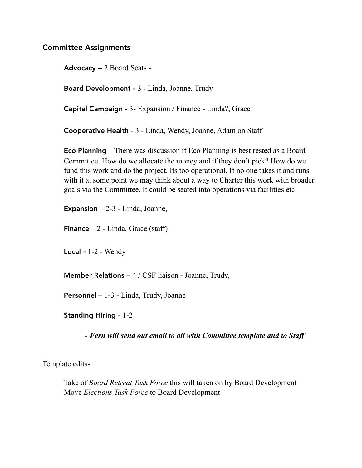#### Committee Assignments

Advocacy *–* 2 Board Seats -

Board Development - 3 - Linda, Joanne, Trudy

Capital Campaign - 3- Expansion / Finance - Linda?, Grace

Cooperative Health - 3 - Linda, Wendy, Joanne, Adam on Staff

Eco Planning *–* There was discussion if Eco Planning is best rested as a Board Committee. How do we allocate the money and if they don't pick? How do we fund this work and do the project. Its too operational. If no one takes it and runs with it at some point we may think about a way to Charter this work with broader goals via the Committee. It could be seated into operations via facilities etc

**Expansion**  $-2-3$  - Linda, Joanne,

Finance **–** 2 **-** Linda, Grace (staff)

Local *-* 1-2 - Wendy

**Member Relations**  $-4$  / CSF liaison - Joanne, Trudy,

Personnel – 1-3 - Linda, Trudy, Joanne

Standing Hiring - 1-2

 *- Fern will send out email to all with Committee template and to Staff* 

Template edits-

 Take of *Board Retreat Task Force* this will taken on by Board Development Move *Elections Task Force* to Board Development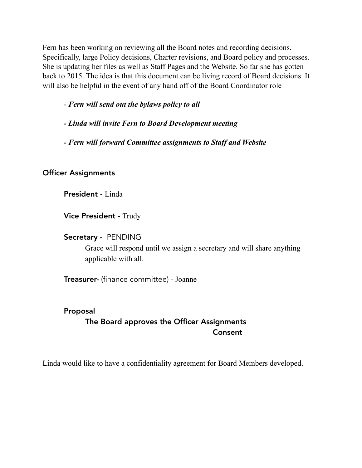Fern has been working on reviewing all the Board notes and recording decisions. Specifically, large Policy decisions, Charter revisions, and Board policy and processes. She is updating her files as well as Staff Pages and the Website. So far she has gotten back to 2015. The idea is that this document can be living record of Board decisions. It will also be helpful in the event of any hand off of the Board Coordinator role

## - *Fern will send out the bylaws policy to all*

- *Linda will invite Fern to Board Development meeting*
- *Fern will forward Committee assignments to Staff and Website*

## Officer Assignments

President - Linda

Vice President - Trudy

### Secretary - PENDING

 Grace will respond until we assign a secretary and will share anything applicable with all.

Treasurer- (finance committee) - Joanne

# Proposal The Board approves the Officer Assignments Consent

Linda would like to have a confidentiality agreement for Board Members developed.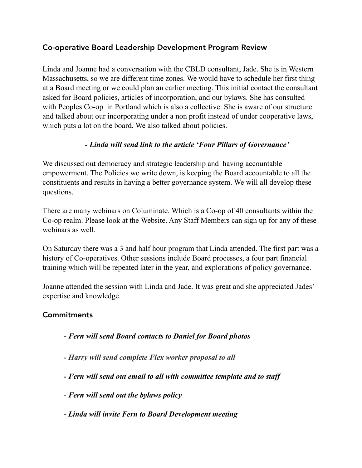## Co-operative Board Leadership Development Program Review

Linda and Joanne had a conversation with the CBLD consultant, Jade. She is in Western Massachusetts, so we are different time zones. We would have to schedule her first thing at a Board meeting or we could plan an earlier meeting. This initial contact the consultant asked for Board policies, articles of incorporation, and our bylaws. She has consulted with Peoples Co-op in Portland which is also a collective. She is aware of our structure and talked about our incorporating under a non profit instead of under cooperative laws, which puts a lot on the board. We also talked about policies.

## *- Linda will send link to the article 'Four Pillars of Governance'*

We discussed out democracy and strategic leadership and having accountable empowerment. The Policies we write down, is keeping the Board accountable to all the constituents and results in having a better governance system. We will all develop these questions.

There are many webinars on Columinate. Which is a Co-op of 40 consultants within the Co-op realm. Please look at the Website. Any Staff Members can sign up for any of these webinars as well.

On Saturday there was a 3 and half hour program that Linda attended. The first part was a history of Co-operatives. Other sessions include Board processes, a four part financial training which will be repeated later in the year, and explorations of policy governance.

Joanne attended the session with Linda and Jade. It was great and she appreciated Jades' expertise and knowledge.

## **Commitments**

- *Fern will send Board contacts to Daniel for Board photos*
- *Harry will send complete Flex worker proposal to all*
- *Fern will send out email to all with committee template and to staff*
- - *Fern will send out the bylaws policy*
- *Linda will invite Fern to Board Development meeting*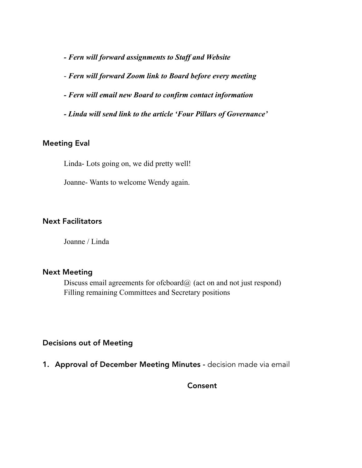*- Fern will forward assignments to Staff and Website* 

- *Fern will forward Zoom link to Board before every meeting* 

- *Fern will email new Board to confirm contact information*
- *Linda will send link to the article 'Four Pillars of Governance'*

### Meeting Eval

Linda- Lots going on, we did pretty well!

Joanne- Wants to welcome Wendy again.

#### Next Facilitators

Joanne / Linda

#### Next Meeting

Discuss email agreements for ofcboard@ (act on and not just respond) Filling remaining Committees and Secretary positions

### Decisions out of Meeting

1. Approval of December Meeting Minutes - decision made via email

**Consent**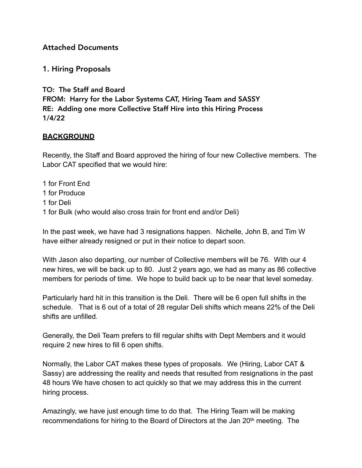### Attached Documents

### 1. Hiring Proposals

TO: The Staff and Board FROM: Harry for the Labor Systems CAT, Hiring Team and SASSY RE: Adding one more Collective Staff Hire into this Hiring Process 1/4/22

### **BACKGROUND**

Recently, the Staff and Board approved the hiring of four new Collective members. The Labor CAT specified that we would hire:

1 for Front End 1 for Produce 1 for Deli 1 for Bulk (who would also cross train for front end and/or Deli)

In the past week, we have had 3 resignations happen. Nichelle, John B, and Tim W have either already resigned or put in their notice to depart soon.

With Jason also departing, our number of Collective members will be 76. With our 4 new hires, we will be back up to 80. Just 2 years ago, we had as many as 86 collective members for periods of time. We hope to build back up to be near that level someday.

Particularly hard hit in this transition is the Deli. There will be 6 open full shifts in the schedule. That is 6 out of a total of 28 regular Deli shifts which means 22% of the Deli shifts are unfilled.

Generally, the Deli Team prefers to fill regular shifts with Dept Members and it would require 2 new hires to fill 6 open shifts.

Normally, the Labor CAT makes these types of proposals. We (Hiring, Labor CAT & Sassy) are addressing the reality and needs that resulted from resignations in the past 48 hours We have chosen to act quickly so that we may address this in the current hiring process.

Amazingly, we have just enough time to do that. The Hiring Team will be making recommendations for hiring to the Board of Directors at the Jan 20<sup>th</sup> meeting. The